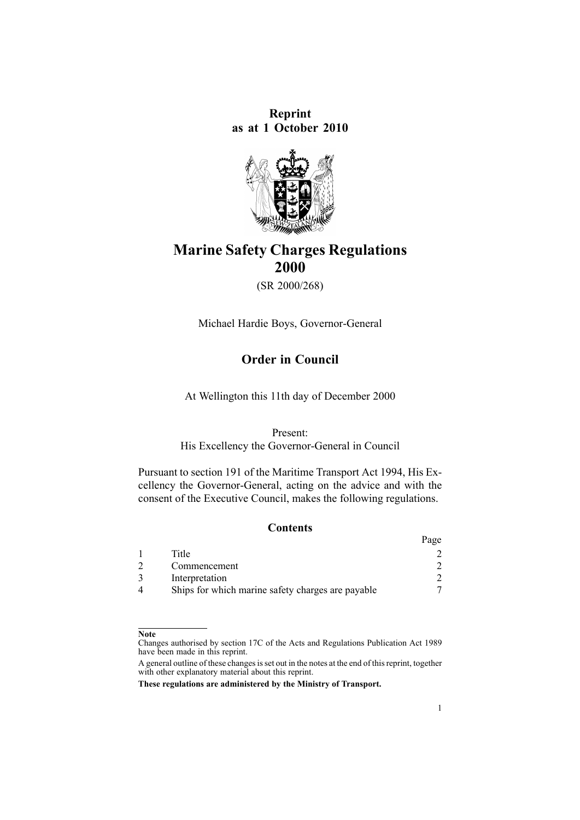**Reprint as at 1 October 2010**



# **Marine Safety Charges Regulations 2000**

(SR 2000/268)

Michael Hardie Boys, Governor-General

# **Order in Council**

At Wellington this 11th day of December 2000

#### Present:

His Excellency the Governor-General in Council

Pursuant to [section](http://www.legislation.govt.nz/pdflink.aspx?id=DLM336772) 191 of the Maritime Transport Act 1994, His Excellency the Governor-General, acting on the advice and with the consent of the Executive Council, makes the following regulations.

# **Contents**

|                                                   | Page |
|---------------------------------------------------|------|
| Title                                             |      |
| Commencement                                      |      |
| Interpretation                                    |      |
| Ships for which marine safety charges are payable |      |

#### **Note**

Changes authorised by [section](http://www.legislation.govt.nz/pdflink.aspx?id=DLM195466) 17C of the Acts and Regulations Publication Act 1989 have been made in this reprint.

A general outline of these changes is set out in the notes at the end of this reprint, together with other explanatory material about this reprint.

**These regulations are administered by the Ministry of Transport.**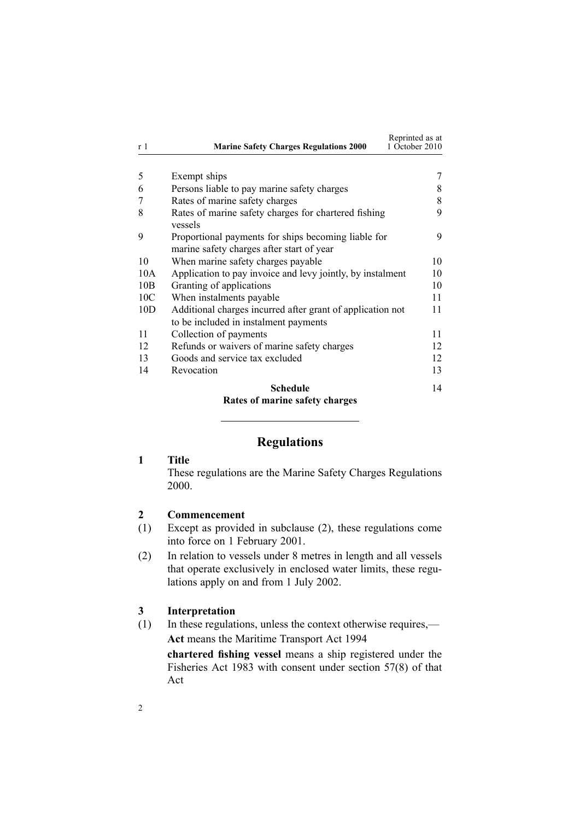<span id="page-1-0"></span>

| r 1             | <b>Marine Safety Charges Regulations 2000</b>                                                       | Reprinted as at<br>1 October 2010 |
|-----------------|-----------------------------------------------------------------------------------------------------|-----------------------------------|
|                 |                                                                                                     |                                   |
| 5               | Exempt ships                                                                                        |                                   |
| 6               | Persons liable to pay marine safety charges                                                         | 8                                 |
| 7               | Rates of marine safety charges                                                                      | 8                                 |
| 8               | Rates of marine safety charges for chartered fishing<br>vessels                                     | 9                                 |
| 9               | Proportional payments for ships becoming liable for<br>marine safety charges after start of year    | 9                                 |
| 10              | When marine safety charges payable                                                                  | 10                                |
| 10A             | Application to pay invoice and levy jointly, by instalment                                          | 10                                |
| 10B             | Granting of applications                                                                            | 10                                |
| 10 <sub>C</sub> | When instalments payable                                                                            | 11                                |
| 10D             | Additional charges incurred after grant of application not<br>to be included in instalment payments | 11                                |
| 11              | Collection of payments                                                                              | 11                                |
| 12              | Refunds or waivers of marine safety charges                                                         | 12                                |
| 13              | Goods and service tax excluded                                                                      | 12                                |
| 14              | Revocation                                                                                          | 13                                |
|                 | Schedule                                                                                            | 14                                |

# **Rates of marine safety [charges](#page-13-0)**

# **Regulations**

## **1 Title**

These regulations are the Marine Safety Charges Regulations 2000.

#### **2 Commencement**

- (1) Except as provided in subclause (2), these regulations come into force on 1 February 2001.
- (2) In relation to vessels under 8 metres in length and all vessels that operate exclusively in enclosed water limits, these regulations apply on and from 1 July 2002.

#### **3 Interpretation**

(1) In these regulations, unless the context otherwise requires,— **Act** means the Maritime [Transport](http://www.legislation.govt.nz/pdflink.aspx?id=DLM334659) Act 1994

**chartered fishing vessel** means <sup>a</sup> ship registered under the [Fisheries](http://www.legislation.govt.nz/pdflink.aspx?id=DLM66581) Act 1983 with consent under [section](http://www.legislation.govt.nz/pdflink.aspx?id=DLM69445) 57(8) of that Act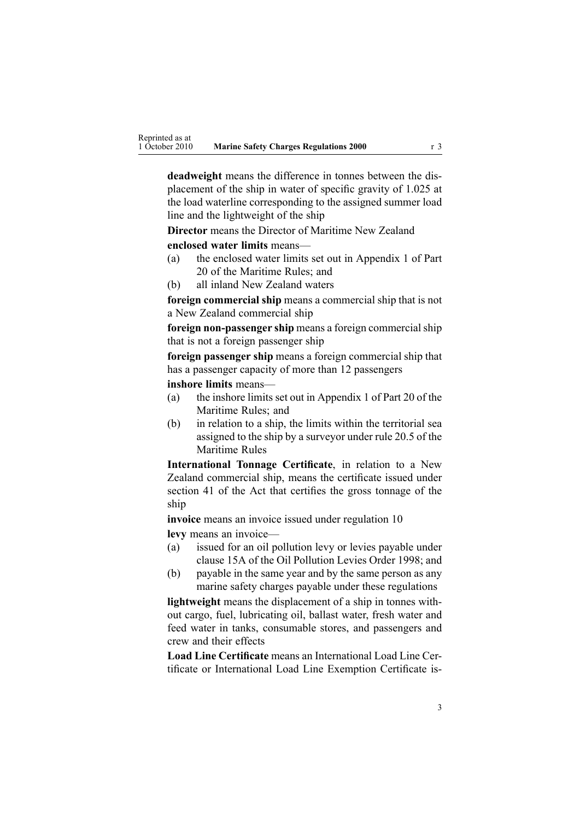**deadweight** means the difference in tonnes between the displacement of the ship in water of specific gravity of 1.025 at the load waterline corresponding to the assigned summer load line and the lightweight of the ship

**Director** means the Director of Maritime New Zealand

**enclosed water limits** means—

- (a) the enclosed water limits set out in Appendix 1 of Part 20 of the Maritime Rules; and
- (b) all inland New Zealand waters

**foreign commercial ship** means <sup>a</sup> commercial ship that is not <sup>a</sup> New Zealand commercial ship

**foreign non-passenger ship** means a foreign commercial ship that is not <sup>a</sup> foreign passenger ship

**foreign passenger ship** means <sup>a</sup> foreign commercial ship that has <sup>a</sup> passenger capacity of more than 12 passengers

**inshore limits** means—

- (a) the inshore limits set out in Appendix 1 of Part 20 of the Maritime Rules; and
- (b) in relation to <sup>a</sup> ship, the limits within the territorial sea assigned to the ship by <sup>a</sup> surveyor under rule 20.5 of the Maritime Rules

**International Tonnage Certificate**, in relation to <sup>a</sup> New Zealand commercial ship, means the certificate issued under [section](http://www.legislation.govt.nz/pdflink.aspx?id=DLM335706) 41 of the Act that certifies the gross tonnage of the ship

**invoice** means an invoice issued under regu[lation](#page-9-0) 10 **levy** means an invoice—

- (a) issued for an oil pollution levy or levies payable under [clause](http://www.legislation.govt.nz/pdflink.aspx?id=DLM265415) 15A of the Oil Pollution Levies Order 1998; and
- (b) payable in the same year and by the same person as any marine safety charges payable under these regulations

**lightweight** means the displacement of <sup>a</sup> ship in tonnes without cargo, fuel, lubricating oil, ballast water, fresh water and feed water in tanks, consumable stores, and passengers and crew and their effects

**Load Line Certificate** means an International Load Line Certificate or International Load Line Exemption Certificate is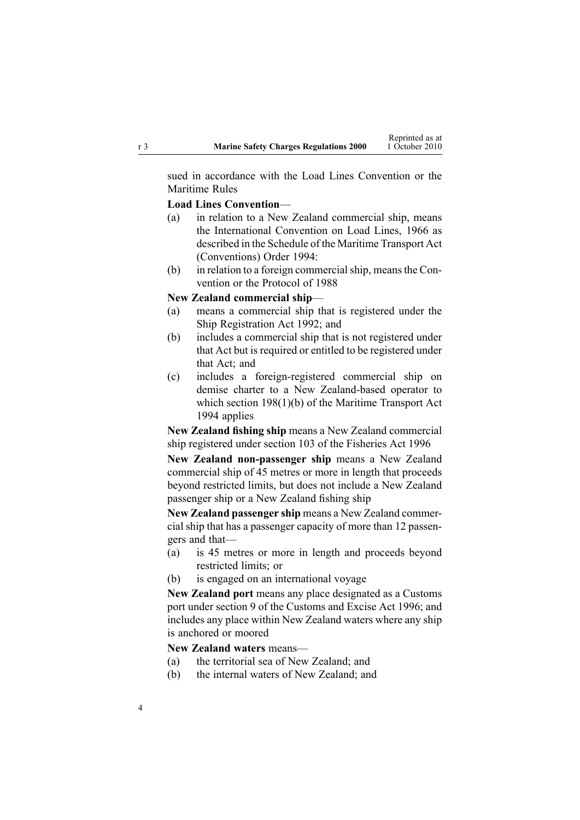sued in accordance with the Load Lines Convention or the Maritime Rules

#### **Load Lines Convention**—

- (a) in relation to <sup>a</sup> New Zealand commercial ship, means the International Convention on Load Lines, 1966 as described in the [Schedule](http://www.legislation.govt.nz/pdflink.aspx?id=DLM197274) of the Maritime Transport Act (Conventions) Order 1994:
- (b) in relation to <sup>a</sup> foreign commercialship, meansthe Convention or the Protocol of 1988

#### **New Zealand commercial ship**—

- (a) means <sup>a</sup> commercial ship that is registered under the Ship [Registration](http://www.legislation.govt.nz/pdflink.aspx?id=DLM275026) Act 1992; and
- (b) includes <sup>a</sup> commercial ship that is not registered under that Act but is required or entitled to be registered under that Act; and
- (c) includes <sup>a</sup> foreign-registered commercial ship on demise charter to <sup>a</sup> New Zealand-based operator to which section [198\(1\)\(b\)](http://www.legislation.govt.nz/pdflink.aspx?id=DLM336787) of the Maritime Transport Act 1994 applies

**New Zealand fishing ship** means <sup>a</sup> New Zealand commercial ship registered under [section](http://www.legislation.govt.nz/pdflink.aspx?id=DLM396970) 103 of the Fisheries Act 1996

**New Zealand non-passenger ship** means <sup>a</sup> New Zealand commercial ship of 45 metres or more in length that proceeds beyond restricted limits, but does not include <sup>a</sup> New Zealand passenger ship or <sup>a</sup> New Zealand fishing ship

**New Zealand passenger ship** means <sup>a</sup> New Zealand commercial ship that has <sup>a</sup> passenger capacity of more than 12 passengers and that—

- (a) is 45 metres or more in length and proceeds beyond restricted limits; or
- (b) is engaged on an international voyage

**New Zealand por<sup>t</sup>** means any place designated as <sup>a</sup> Customs por<sup>t</sup> under [section](http://www.legislation.govt.nz/pdflink.aspx?id=DLM378158) 9 of the Customs and Excise Act 1996; and includes any place within New Zealand waters where any ship is anchored or moored

#### **New Zealand waters** means—

- (a) the territorial sea of New Zealand; and
- (b) the internal waters of New Zealand; and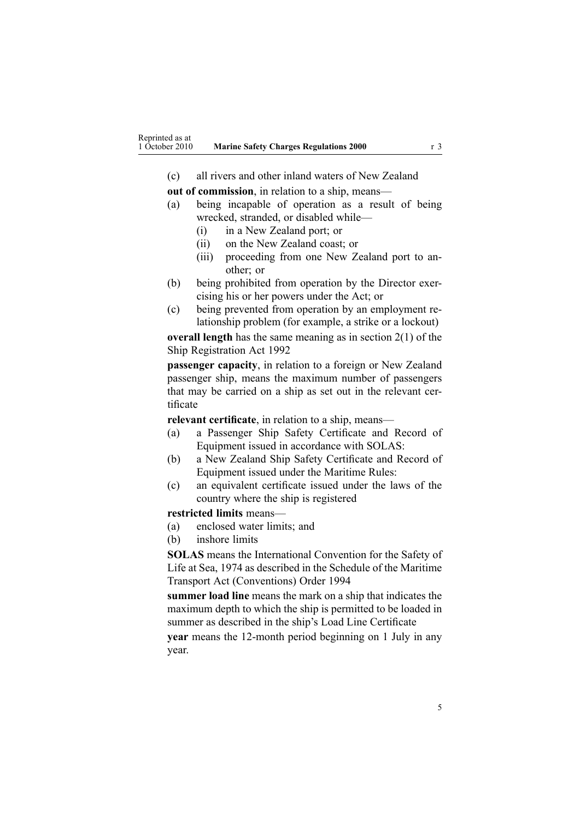(c) all rivers and other inland waters of New Zealand

**out of commission**, in relation to <sup>a</sup> ship, means—

- (a) being incapable of operation as <sup>a</sup> result of being wrecked, stranded, or disabled while—
	- (i) in <sup>a</sup> New Zealand port; or
	- (ii) on the New Zealand coast; or
	- (iii) proceeding from one New Zealand por<sup>t</sup> to another; or
- (b) being prohibited from operation by the Director exercising his or her powers under the Act; or
- (c) being prevented from operation by an employment relationship problem (for example, <sup>a</sup> strike or <sup>a</sup> lockout)

**overall length** has the same meaning as in [section](http://www.legislation.govt.nz/pdflink.aspx?id=DLM275032) 2(1) of the Ship Registration Act 1992

**passenger capacity**, in relation to <sup>a</sup> foreign or New Zealand passenger ship, means the maximum number of passengers that may be carried on <sup>a</sup> ship as set out in the relevant certificate

**relevant certificate**, in relation to <sup>a</sup> ship, means—

- (a) <sup>a</sup> Passenger Ship Safety Certificate and Record of Equipment issued in accordance with SOLAS:
- (b) <sup>a</sup> New Zealand Ship Safety Certificate and Record of Equipment issued under the Maritime Rules:
- (c) an equivalent certificate issued under the laws of the country where the ship is registered

#### **restricted limits** means—

- (a) enclosed water limits; and
- (b) inshore limits

**SOLAS** means the International Convention for the Safety of Life at Sea, 1974 as described in the [Schedule](http://www.legislation.govt.nz/pdflink.aspx?id=DLM197274) of the Maritime Transport Act (Conventions) Order 1994

**summer load line** means the mark on <sup>a</sup> ship that indicates the maximum depth to which the ship is permitted to be loaded in summer as described in the ship's Load Line Certificate

**year** means the 12-month period beginning on 1 July in any year.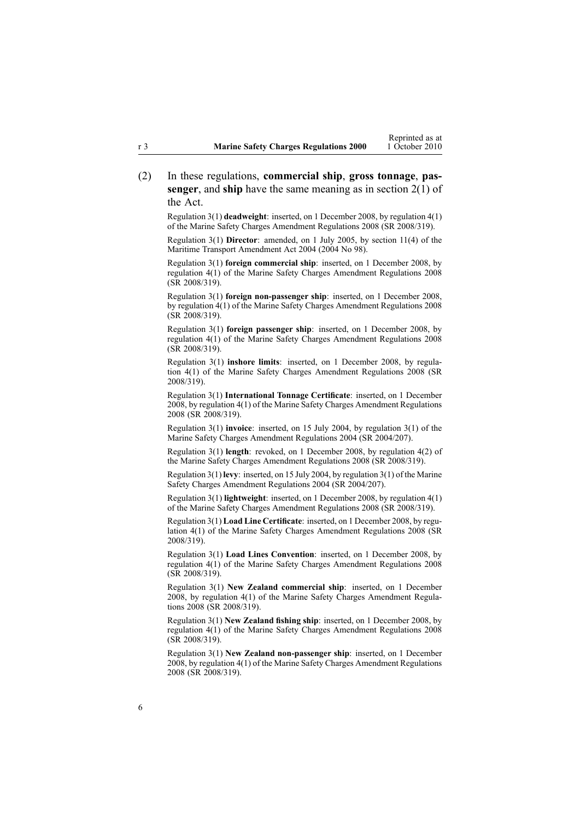(2) In these regulations, **commercial ship**, **gross tonnage**, **passenger**, and **ship** have the same meaning as in [section](http://www.legislation.govt.nz/pdflink.aspx?id=DLM334667) 2(1) of the Act.

Regulation 3(1) **deadweight**: inserted, on 1 December 2008, by regu[lation](http://www.legislation.govt.nz/pdflink.aspx?id=DLM1625607) 4(1) of the Marine Safety Charges Amendment Regulations 2008 (SR 2008/319).

Regulation 3(1) **Director**: amended, on 1 July 2005, by [section](http://www.legislation.govt.nz/pdflink.aspx?id=DLM322600) 11(4) of the Maritime Transport Amendment Act 2004 (2004 No 98).

Regulation 3(1) **foreign commercial ship**: inserted, on 1 December 2008, by regu[lation](http://www.legislation.govt.nz/pdflink.aspx?id=DLM1625607) 4(1) of the Marine Safety Charges Amendment Regulations 2008 (SR 2008/319).

Regulation 3(1) **foreign non-passenger ship**: inserted, on 1 December 2008, by regu[lation](http://www.legislation.govt.nz/pdflink.aspx?id=DLM1625607) 4(1) of the Marine Safety Charges Amendment Regulations 2008 (SR 2008/319).

Regulation 3(1) **foreign passenger ship**: inserted, on 1 December 2008, by regu[lation](http://www.legislation.govt.nz/pdflink.aspx?id=DLM1625607) 4(1) of the Marine Safety Charges Amendment Regulations 2008 (SR 2008/319).

Regulation 3(1) **inshore limits**: inserted, on 1 December 2008, by [regu](http://www.legislation.govt.nz/pdflink.aspx?id=DLM1625607)lation [4\(1\)](http://www.legislation.govt.nz/pdflink.aspx?id=DLM1625607) of the Marine Safety Charges Amendment Regulations 2008 (SR 2008/319).

Regulation 3(1) **International Tonnage Certificate**: inserted, on 1 December 2008, by regu[lation](http://www.legislation.govt.nz/pdflink.aspx?id=DLM1625607) 4(1) of the Marine Safety Charges Amendment Regulations 2008 (SR 2008/319).

Regulation 3(1) **invoice**: inserted, on 15 July 2004, by regu[lation](http://www.legislation.govt.nz/pdflink.aspx?id=DLM272530) 3(1) of the Marine Safety Charges Amendment Regulations 2004 (SR 2004/207).

Regulation 3(1) **length**: revoked, on 1 December 2008, by regu[lation](http://www.legislation.govt.nz/pdflink.aspx?id=DLM1625607) 4(2) of the Marine Safety Charges Amendment Regulations 2008 (SR 2008/319).

Regulation 3(1) **levy**: inserted, on 15 July 2004, by regu[lation](http://www.legislation.govt.nz/pdflink.aspx?id=DLM272530) 3(1) of the Marine Safety Charges Amendment Regulations 2004 (SR 2004/207).

Regulation 3(1) **lightweight**: inserted, on 1 December 2008, by regu[lation](http://www.legislation.govt.nz/pdflink.aspx?id=DLM1625607) 4(1) of the Marine Safety Charges Amendment Regulations 2008 (SR 2008/319).

Regulation 3(1) **Load Line Certificate**: inserted, on 1 December 2008, by [regu](http://www.legislation.govt.nz/pdflink.aspx?id=DLM1625607)[lation](http://www.legislation.govt.nz/pdflink.aspx?id=DLM1625607) 4(1) of the Marine Safety Charges Amendment Regulations 2008 (SR 2008/319).

Regulation 3(1) **Load Lines Convention**: inserted, on 1 December 2008, by regu[lation](http://www.legislation.govt.nz/pdflink.aspx?id=DLM1625607) 4(1) of the Marine Safety Charges Amendment Regulations 2008 (SR 2008/319).

Regulation 3(1) **New Zealand commercial ship**: inserted, on 1 December 2008, by regu[lation](http://www.legislation.govt.nz/pdflink.aspx?id=DLM1625607) 4(1) of the Marine Safety Charges Amendment Regulations 2008 (SR 2008/319).

Regulation 3(1) **New Zealand fishing ship**: inserted, on 1 December 2008, by regu[lation](http://www.legislation.govt.nz/pdflink.aspx?id=DLM1625607) 4(1) of the Marine Safety Charges Amendment Regulations 2008 (SR 2008/319).

Regulation 3(1) **New Zealand non-passenger ship**: inserted, on 1 December 2008, by regu[lation](http://www.legislation.govt.nz/pdflink.aspx?id=DLM1625607) 4(1) of the Marine Safety Charges Amendment Regulations 2008 (SR 2008/319).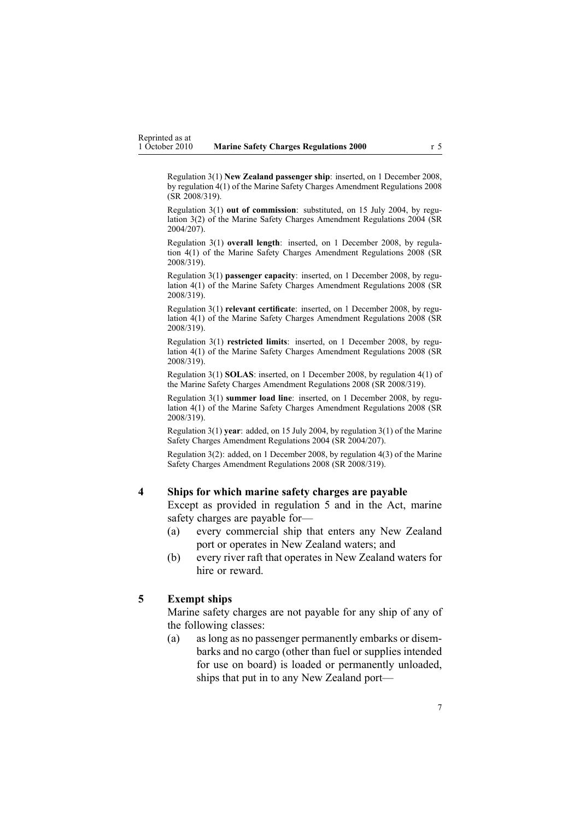<span id="page-6-0"></span>Regulation 3(1) **New Zealand passenger ship**: inserted, on 1 December 2008, by regu[lation](http://www.legislation.govt.nz/pdflink.aspx?id=DLM1625607) 4(1) of the Marine Safety Charges Amendment Regulations 2008 (SR 2008/319).

Regulation 3(1) **out of commission**: substituted, on 15 July 2004, by [regu](http://www.legislation.govt.nz/pdflink.aspx?id=DLM272530)[lation](http://www.legislation.govt.nz/pdflink.aspx?id=DLM272530) 3(2) of the Marine Safety Charges Amendment Regulations 2004 (SR 2004/207).

Regulation 3(1) **overall length**: inserted, on 1 December 2008, by [regu](http://www.legislation.govt.nz/pdflink.aspx?id=DLM1625607)lation [4\(1\)](http://www.legislation.govt.nz/pdflink.aspx?id=DLM1625607) of the Marine Safety Charges Amendment Regulations 2008 (SR 2008/319).

Regulation 3(1) **passenger capacity**: inserted, on 1 December 2008, by [regu](http://www.legislation.govt.nz/pdflink.aspx?id=DLM1625607)[lation](http://www.legislation.govt.nz/pdflink.aspx?id=DLM1625607) 4(1) of the Marine Safety Charges Amendment Regulations 2008 (SR 2008/319).

Regulation 3(1) **relevant certificate**: inserted, on 1 December 2008, by [regu](http://www.legislation.govt.nz/pdflink.aspx?id=DLM1625607)[lation](http://www.legislation.govt.nz/pdflink.aspx?id=DLM1625607) 4(1) of the Marine Safety Charges Amendment Regulations 2008 (SR 2008/319).

Regulation 3(1) **restricted limits**: inserted, on 1 December 2008, by [regu](http://www.legislation.govt.nz/pdflink.aspx?id=DLM1625607)[lation](http://www.legislation.govt.nz/pdflink.aspx?id=DLM1625607) 4(1) of the Marine Safety Charges Amendment Regulations 2008 (SR 2008/319).

Regulation 3(1) **SOLAS**: inserted, on 1 December 2008, by regu[lation](http://www.legislation.govt.nz/pdflink.aspx?id=DLM1625607) 4(1) of the Marine Safety Charges Amendment Regulations 2008 (SR 2008/319).

Regulation 3(1) **summer load line**: inserted, on 1 December 2008, by [regu](http://www.legislation.govt.nz/pdflink.aspx?id=DLM1625607)[lation](http://www.legislation.govt.nz/pdflink.aspx?id=DLM1625607) 4(1) of the Marine Safety Charges Amendment Regulations 2008 (SR 2008/319).

Regulation 3(1) **year**: added, on 15 July 2004, by regu[lation](http://www.legislation.govt.nz/pdflink.aspx?id=DLM272530) 3(1) of the Marine Safety Charges Amendment Regulations 2004 (SR 2004/207).

Regulation 3(2): added, on 1 December 2008, by regu[lation](http://www.legislation.govt.nz/pdflink.aspx?id=DLM1625607) 4(3) of the Marine Safety Charges Amendment Regulations 2008 (SR 2008/319).

#### **4 Ships for which marine safety charges are payable**

Except as provided in regulation 5 and in the Act, marine safety charges are payable for—

- (a) every commercial ship that enters any New Zealand por<sup>t</sup> or operates in New Zealand waters; and
- (b) every river raft that operates in New Zealand waters for hire or reward.

#### **5 Exempt ships**

Marine safety charges are not payable for any ship of any of the following classes:

(a) as long as no passenger permanently embarks or disembarks and no cargo (other than fuel or supplies intended for use on board) is loaded or permanently unloaded, ships that pu<sup>t</sup> in to any New Zealand port—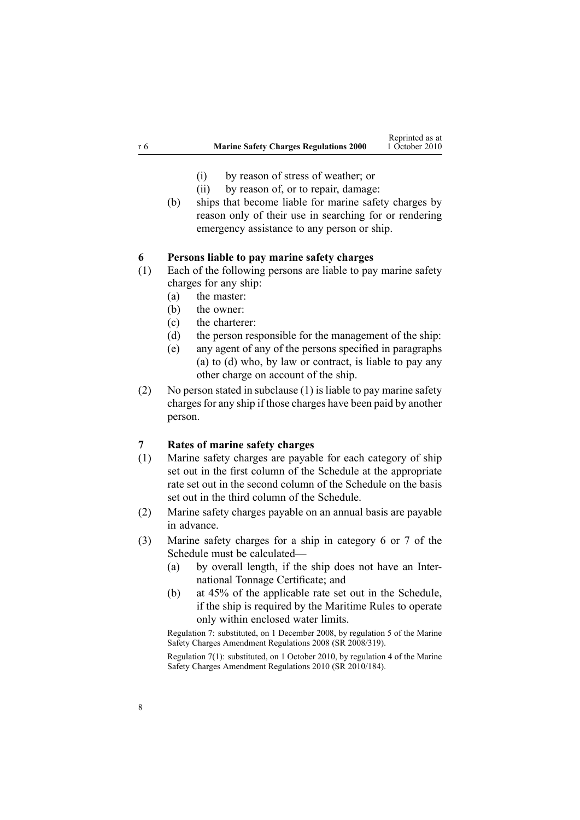- (i) by reason of stress of weather; or
- (ii) by reason of, or to repair, damage:
- <span id="page-7-0"></span>(b) ships that become liable for marine safety charges by reason only of their use in searching for or rendering emergency assistance to any person or ship.

#### **6 Persons liable to pay marine safety charges**

- (1) Each of the following persons are liable to pay marine safety charges for any ship:
	- (a) the master:
	- (b) the owner:
	- (c) the charterer:
	- (d) the person responsible for the managemen<sup>t</sup> of the ship:
	- (e) any agen<sup>t</sup> of any of the persons specified in paragraphs (a) to (d) who, by law or contract, is liable to pay any other charge on account of the ship.
- (2) No person stated in subclause (1) is liable to pay marine safety charges for any ship if those charges have been paid by another person.

# **7 Rates of marine safety charges**

- (1) Marine safety charges are payable for each category of ship set out in the first column of the [Schedule](#page-13-0) at the appropriate rate set out in the second column of the Schedule on the basis set out in the third column of the Schedule.
- (2) Marine safety charges payable on an annual basis are payable in advance.
- (3) Marine safety charges for <sup>a</sup> ship in category 6 or 7 of the [Schedule](#page-13-0) must be calculated—
	- (a) by overall length, if the ship does not have an International Tonnage Certificate; and
	- (b) at 45% of the applicable rate set out in the [Schedule](#page-13-0), if the ship is required by the Maritime Rules to operate only within enclosed water limits.

Regulation 7: substituted, on 1 December 2008, by regu[lation](http://www.legislation.govt.nz/pdflink.aspx?id=DLM1625647) 5 of the Marine Safety Charges Amendment Regulations 2008 (SR 2008/319).

Regulation 7(1): substituted, on 1 October 2010, by regu[lation](http://www.legislation.govt.nz/pdflink.aspx?id=DLM3048519) 4 of the Marine Safety Charges Amendment Regulations 2010 (SR 2010/184).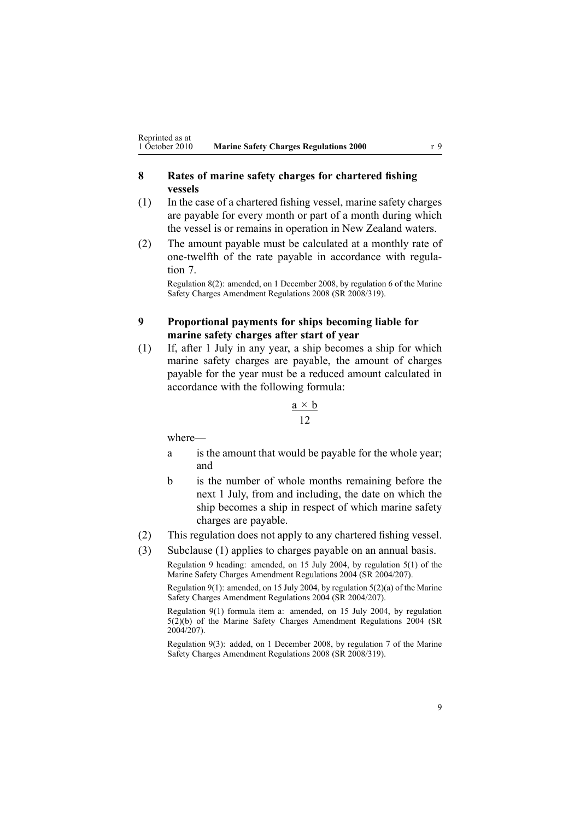## <span id="page-8-0"></span>**8 Rates of marine safety charges for chartered fishing vessels**

- (1) In the case of <sup>a</sup> chartered fishing vessel, marine safety charges are payable for every month or par<sup>t</sup> of <sup>a</sup> month during which the vessel is or remains in operation in New Zealand waters.
- (2) The amount payable must be calculated at <sup>a</sup> monthly rate of one-twelfth of the rate payable in accordance with [regu](#page-7-0)la[tion](#page-7-0) 7.

Regulation 8(2): amended, on 1 December 2008, by regu[lation](http://www.legislation.govt.nz/pdflink.aspx?id=DLM1625649) 6 of the Marine Safety Charges Amendment Regulations 2008 (SR 2008/319).

#### **9 Proportional payments for ships becoming liable for marine safety charges after start of year**

(1) If, after 1 July in any year, <sup>a</sup> ship becomes <sup>a</sup> ship for which marine safety charges are payable, the amount of charges payable for the year must be <sup>a</sup> reduced amount calculated in accordance with the following formula:

$$
\frac{\mathbf{a} \times \mathbf{b}}{12}
$$

where—

- <sup>a</sup> is the amount that would be payable for the whole year; and
- b is the number of whole months remaining before the next 1 July, from and including, the date on which the ship becomes <sup>a</sup> ship in respec<sup>t</sup> of which marine safety charges are payable.
- (2) This regulation does not apply to any chartered fishing vessel.
- (3) Subclause (1) applies to charges payable on an annual basis.

Regulation 9 heading: amended, on 15 July 2004, by regu[lation](http://www.legislation.govt.nz/pdflink.aspx?id=DLM272540) 5(1) of the Marine Safety Charges Amendment Regulations 2004 (SR 2004/207).

Regulation 9(1): amended, on 15 July 2004, by regulation  $5(2)(a)$  of the Marine Safety Charges Amendment Regulations 2004 (SR 2004/207).

Regulation 9(1) formula item a: amended, on 15 July 2004, by regu[lation](http://www.legislation.govt.nz/pdflink.aspx?id=DLM272540) [5\(2\)\(b\)](http://www.legislation.govt.nz/pdflink.aspx?id=DLM272540) of the Marine Safety Charges Amendment Regulations 2004 (SR 2004/207).

Regulation 9(3): added, on 1 December 2008, by regu[lation](http://www.legislation.govt.nz/pdflink.aspx?id=DLM1625650) 7 of the Marine Safety Charges Amendment Regulations 2008 (SR 2008/319).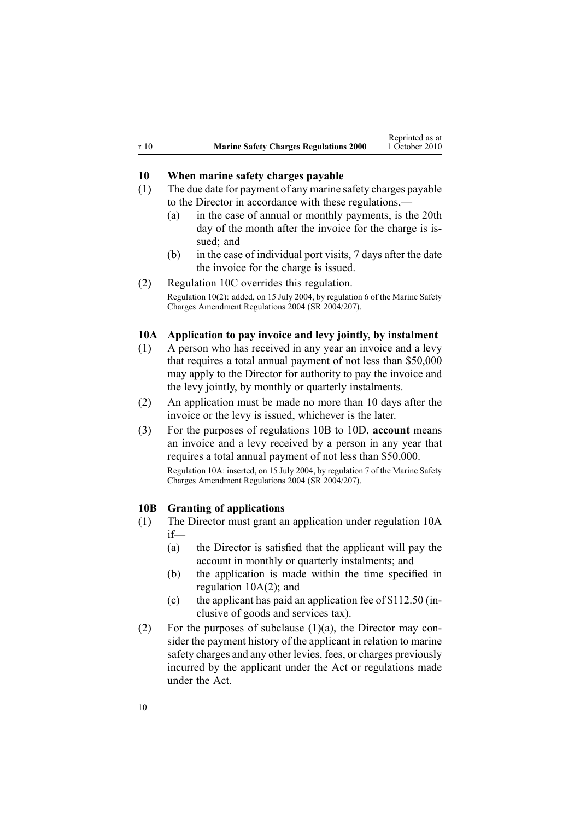<span id="page-9-0"></span>

| r 10 | <b>Marine Safety Charges Regulations 2000</b> | Reprinted as at<br>1 October 2010 |
|------|-----------------------------------------------|-----------------------------------|
|      |                                               |                                   |

Reprinted as at

### **10 When marine safety charges payable**

- (1) The due date for paymen<sup>t</sup> of any marine safety charges payable to the Director in accordance with these regulations,—
	- (a) in the case of annual or monthly payments, is the 20th day of the month after the invoice for the charge is issued; and
	- (b) in the case of individual por<sup>t</sup> visits, 7 days after the date the invoice for the charge is issued.
- (2) [Regulation](#page-10-0) 10C overrides this regulation.

Regulation 10(2): added, on 15 July 2004, by regu[lation](http://www.legislation.govt.nz/pdflink.aspx?id=DLM272541) 6 of the Marine Safety Charges Amendment Regulations 2004 (SR 2004/207).

#### **10A Application to pay invoice and levy jointly, by instalment**

- (1) A person who has received in any year an invoice and <sup>a</sup> levy that requires <sup>a</sup> total annual paymen<sup>t</sup> of not less than \$50,000 may apply to the Director for authority to pay the invoice and the levy jointly, by monthly or quarterly instalments.
- (2) An application must be made no more than 10 days after the invoice or the levy is issued, whichever is the later.
- (3) For the purposes of regulations 10B to 10D, **account** means an invoice and <sup>a</sup> levy received by <sup>a</sup> person in any year that requires <sup>a</sup> total annual paymen<sup>t</sup> of not less than \$50,000. Regulation 10A: inserted, on 15 July 2004, by regu[lation](http://www.legislation.govt.nz/pdflink.aspx?id=DLM272542) 7 of the Marine Safety Charges Amendment Regulations 2004 (SR 2004/207).

#### **10B Granting of applications**

- (1) The Director must gran<sup>t</sup> an application under regulation 10A if—
	- (a) the Director is satisfied that the applicant will pay the account in monthly or quarterly instalments; and
	- (b) the application is made within the time specified in regulation 10A(2); and
	- (c) the applicant has paid an application fee of \$112.50 (inclusive of goods and services tax).
- (2) For the purposes of subclause (1)(a), the Director may consider the paymen<sup>t</sup> history of the applicant in relation to marine safety charges and any other levies, fees, or charges previously incurred by the applicant under the Act or regulations made under the Act.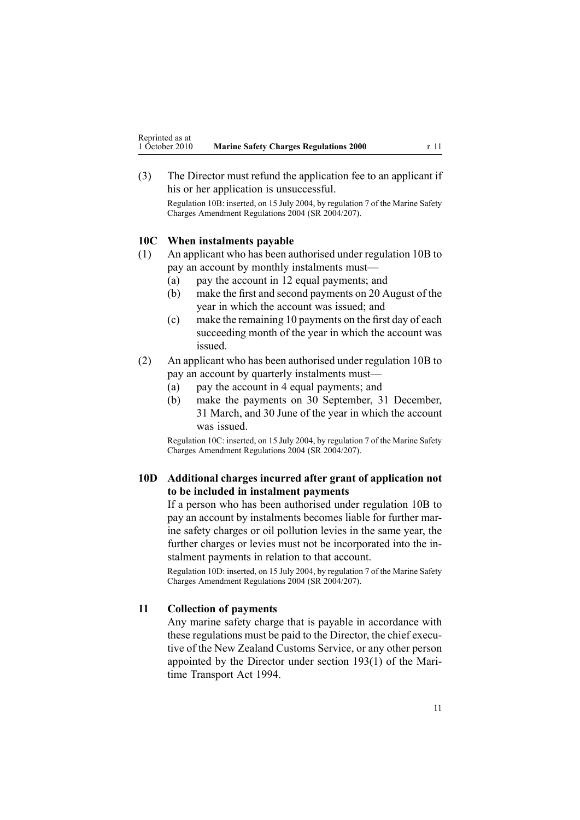<span id="page-10-0"></span>(3) The Director must refund the application fee to an applicant if his or her application is unsuccessful.

Regulation 10B: inserted, on 15 July 2004, by regu[lation](http://www.legislation.govt.nz/pdflink.aspx?id=DLM272542) 7 of the Marine Safety Charges Amendment Regulations 2004 (SR 2004/207).

#### **10C When instalments payable**

- (1) An applicant who has been authorised under regu[lation](#page-9-0) 10B to pay an account by monthly instalments must—
	- (a) pay the account in 12 equal payments; and
	- (b) make the first and second payments on 20 August of the year in which the account was issued; and
	- (c) make the remaining 10 payments on the first day of each succeeding month of the year in which the account was issued.
- (2) An applicant who has been authorised under regu[lation](#page-9-0) 10B to pay an account by quarterly instalments must—
	- (a) pay the account in 4 equal payments; and
	- (b) make the payments on 30 September, 31 December, 31 March, and 30 June of the year in which the account was issued.

Regulation 10C: inserted, on 15 July 2004, by regu[lation](http://www.legislation.govt.nz/pdflink.aspx?id=DLM272542) 7 of the Marine Safety Charges Amendment Regulations 2004 (SR 2004/207).

### **10D Additional charges incurred after grant of application not to be included in instalment payments**

If <sup>a</sup> person who has been authorised under regu[lation](#page-9-0) 10B to pay an account by instalments becomes liable for further marine safety charges or oil pollution levies in the same year, the further charges or levies must not be incorporated into the instalment payments in relation to that account.

Regulation 10D: inserted, on 15 July 2004, by regu[lation](http://www.legislation.govt.nz/pdflink.aspx?id=DLM272542) 7 of the Marine Safety Charges Amendment Regulations 2004 (SR 2004/207).

#### **11 Collection of payments**

Any marine safety charge that is payable in accordance with these regulations must be paid to the Director, the chief executive of the New Zealand Customs Service, or any other person appointed by the Director under section [193\(1\)](http://www.legislation.govt.nz/pdflink.aspx?id=DLM336774) of the Maritime Transport Act 1994.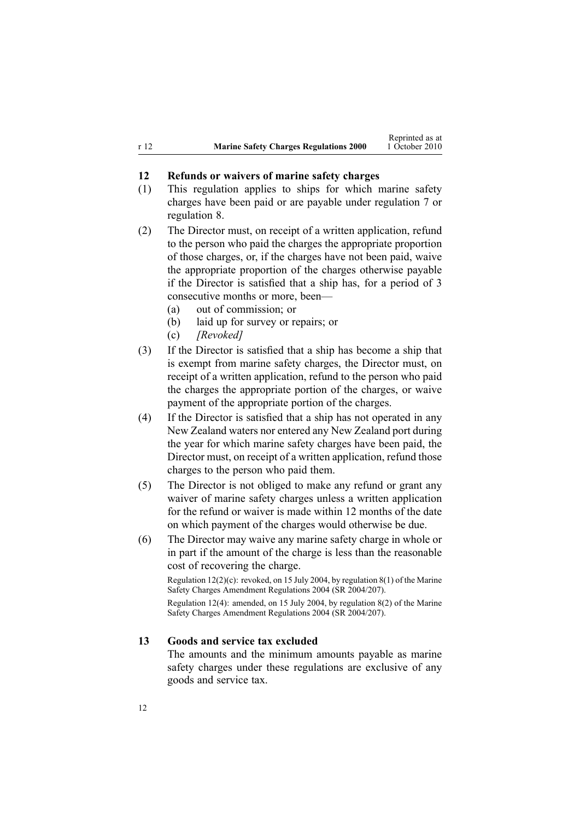<span id="page-11-0"></span>

|      |                                               | Reprinted as at |
|------|-----------------------------------------------|-----------------|
| r 12 | <b>Marine Safety Charges Regulations 2000</b> | 1 October 2010  |

Reprinted as at

### **12 Refunds or waivers of marine safety charges**

- (1) This regulation applies to ships for which marine safety charges have been paid or are payable under regu[lation](#page-7-0) 7 or regu[lation](#page-8-0) 8.
- (2) The Director must, on receipt of <sup>a</sup> written application, refund to the person who paid the charges the appropriate proportion of those charges, or, if the charges have not been paid, waive the appropriate proportion of the charges otherwise payable if the Director is satisfied that <sup>a</sup> ship has, for <sup>a</sup> period of 3 consecutive months or more, been—
	- (a) out of commission; or
	- (b) laid up for survey or repairs; or
	- (c) *[Revoked]*
- (3) If the Director is satisfied that <sup>a</sup> ship has become <sup>a</sup> ship that is exemp<sup>t</sup> from marine safety charges, the Director must, on receipt of <sup>a</sup> written application, refund to the person who paid the charges the appropriate portion of the charges, or waive paymen<sup>t</sup> of the appropriate portion of the charges.
- (4) If the Director is satisfied that <sup>a</sup> ship has not operated in any New Zealand waters nor entered any New Zealand por<sup>t</sup> during the year for which marine safety charges have been paid, the Director must, on receipt of <sup>a</sup> written application, refund those charges to the person who paid them.
- (5) The Director is not obliged to make any refund or gran<sup>t</sup> any waiver of marine safety charges unless <sup>a</sup> written application for the refund or waiver is made within 12 months of the date on which paymen<sup>t</sup> of the charges would otherwise be due.
- (6) The Director may waive any marine safety charge in whole or in par<sup>t</sup> if the amount of the charge is less than the reasonable cost of recovering the charge.

Regulation 12(2)(c): revoked, on 15 July 2004, by regu[lation](http://www.legislation.govt.nz/pdflink.aspx?id=DLM272547) 8(1) of the Marine Safety Charges Amendment Regulations 2004 (SR 2004/207).

Regulation 12(4): amended, on 15 July 2004, by regu[lation](http://www.legislation.govt.nz/pdflink.aspx?id=DLM272547) 8(2) of the Marine Safety Charges Amendment Regulations 2004 (SR 2004/207).

#### **13 Goods and service tax excluded**

The amounts and the minimum amounts payable as marine safety charges under these regulations are exclusive of any goods and service tax.

12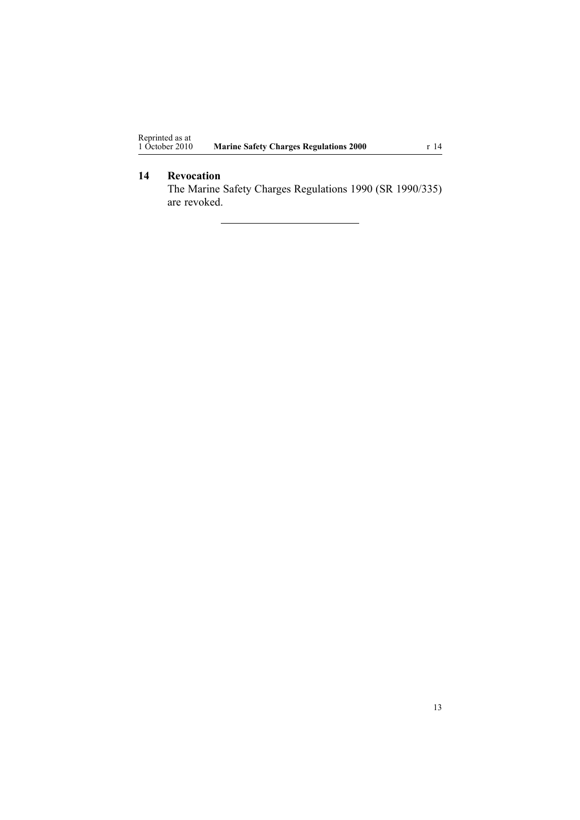# <span id="page-12-0"></span>**14 Revocation**

The Marine Safety Charges Regulations 1990 (SR 1990/335) are revoked.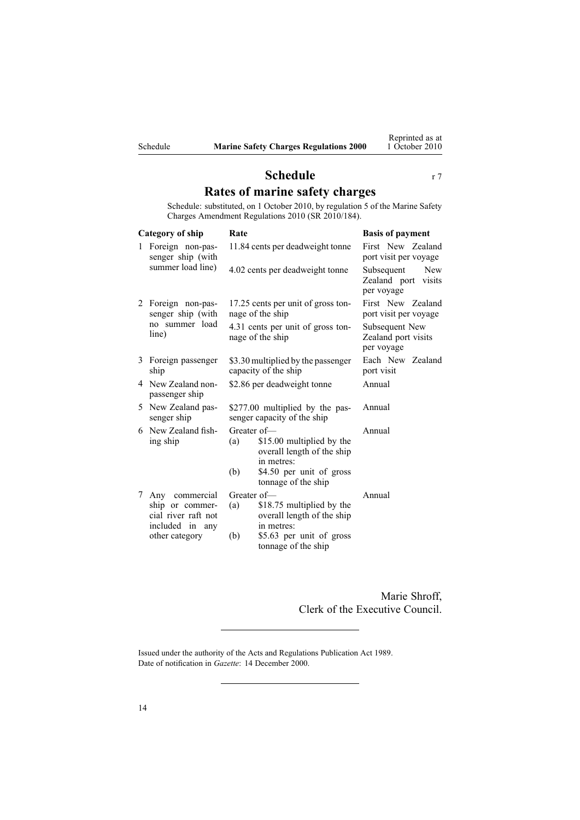<span id="page-13-0"></span>

# **Schedule** r [7](#page-7-0) **Rates of marine safety charges**

Schedule: substituted, on 1 October 2010, by regu[lation](http://www.legislation.govt.nz/pdflink.aspx?id=DLM3048507) 5 of the Marine Safety Charges Amendment Regulations 2010 (SR 2010/184).

| Category of ship |                                                                             | Rate                                                                                                                                                  | <b>Basis of payment</b>                                   |  |
|------------------|-----------------------------------------------------------------------------|-------------------------------------------------------------------------------------------------------------------------------------------------------|-----------------------------------------------------------|--|
| 1                | Foreign non-pas-<br>senger ship (with                                       | 11.84 cents per deadweight tonne                                                                                                                      | First New Zealand<br>port visit per voyage                |  |
|                  | summer load line)                                                           | 4.02 cents per deadweight tonne                                                                                                                       | New<br>Subsequent<br>Zealand port<br>visits<br>per voyage |  |
|                  | 2 Foreign non-pas-<br>senger ship (with<br>no summer load<br>line)          | 17.25 cents per unit of gross ton-<br>nage of the ship                                                                                                | First New Zealand<br>port visit per voyage                |  |
|                  |                                                                             | 4.31 cents per unit of gross ton-<br>nage of the ship                                                                                                 | Subsequent New<br>Zealand port visits<br>per voyage       |  |
| 3                | Foreign passenger<br>ship                                                   | \$3.30 multiplied by the passenger<br>capacity of the ship                                                                                            | Each New Zealand<br>port visit                            |  |
|                  | 4 New Zealand non-<br>passenger ship                                        | \$2.86 per deadweight tonne                                                                                                                           | Annual                                                    |  |
| 5                | New Zealand pas-<br>senger ship                                             | \$277.00 multiplied by the pas-<br>senger capacity of the ship                                                                                        | Annual                                                    |  |
|                  | 6 New Zealand fish-<br>ing ship                                             | Greater of-<br>\$15.00 multiplied by the<br>(a)<br>overall length of the ship<br>in metres:<br>(b)<br>\$4.50 per unit of gross<br>tonnage of the ship | Annual                                                    |  |
| 7                | Any commercial<br>ship or commer-<br>cial river raft not<br>included in any | Greater of-<br>\$18.75 multiplied by the<br>(a)<br>overall length of the ship<br>in metres:                                                           | Annual                                                    |  |
|                  | other category                                                              | (b)<br>\$5.63 per unit of gross<br>tonnage of the ship                                                                                                |                                                           |  |

Marie Shroff, Clerk of the Executive Council.

Issued under the authority of the Acts and [Regulations](http://www.legislation.govt.nz/pdflink.aspx?id=DLM195097) Publication Act 1989. Date of notification in *Gazette*: 14 December 2000.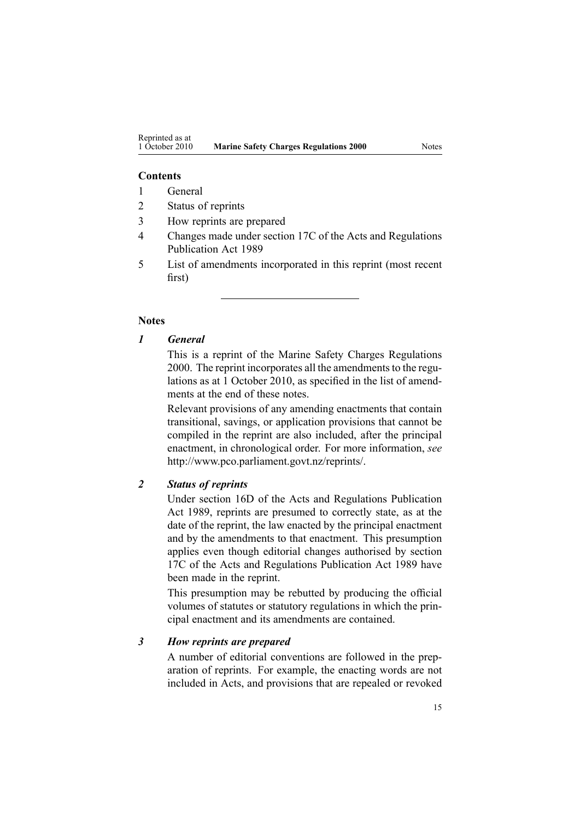# **Contents**

- 1 General
- 2 Status of reprints
- 3 How reprints are prepared
- 4 Changes made under section 17C of the Acts and Regulations Publication Act 1989
- 5 List of amendments incorporated in this reprint (most recent first)

## **Notes**

#### *1 General*

This is <sup>a</sup> reprint of the Marine Safety Charges Regulations 2000. The reprint incorporates all the amendments to the regulations as at 1 October 2010, as specified in the list of amendments at the end of these notes.

Relevant provisions of any amending enactments that contain transitional, savings, or application provisions that cannot be compiled in the reprint are also included, after the principal enactment, in chronological order. For more information, *see* <http://www.pco.parliament.govt.nz/reprints/>.

## *2 Status of reprints*

Under [section](http://www.legislation.govt.nz/pdflink.aspx?id=DLM195439) 16D of the Acts and Regulations Publication Act 1989, reprints are presumed to correctly state, as at the date of the reprint, the law enacted by the principal enactment and by the amendments to that enactment. This presumption applies even though editorial changes authorised by [section](http://www.legislation.govt.nz/pdflink.aspx?id=DLM195466) [17C](http://www.legislation.govt.nz/pdflink.aspx?id=DLM195466) of the Acts and Regulations Publication Act 1989 have been made in the reprint.

This presumption may be rebutted by producing the official volumes of statutes or statutory regulations in which the principal enactment and its amendments are contained.

#### *3 How reprints are prepared*

A number of editorial conventions are followed in the preparation of reprints. For example, the enacting words are not included in Acts, and provisions that are repealed or revoked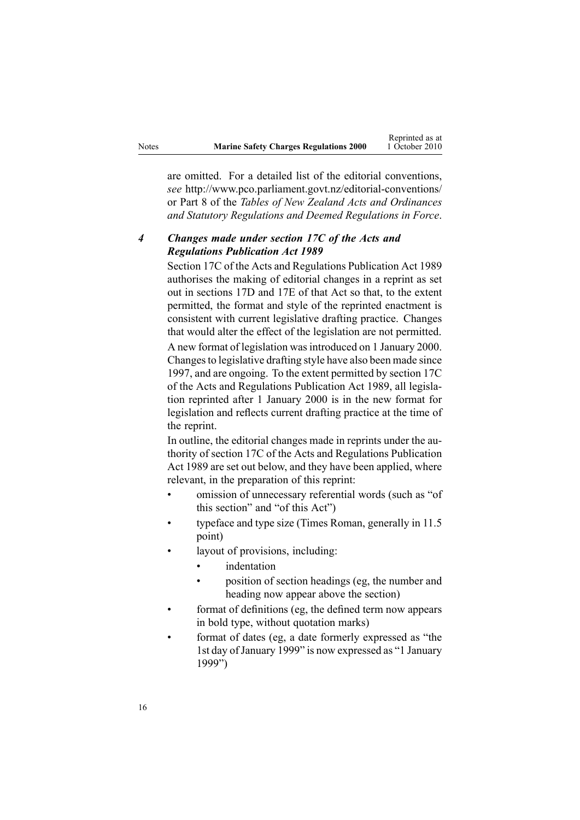|       |                                               | Reprinted as at |
|-------|-----------------------------------------------|-----------------|
| Notes | <b>Marine Safety Charges Regulations 2000</b> | 1 October 2010  |

Reprinted as at

are omitted. For <sup>a</sup> detailed list of the editorial conventions, *see* [http://www.pco.parliament.govt.nz/editorial-conventions/](http://www.pco.parliament.govt.nz/editorial-conventions/ ) or Part 8 of the *Tables of New Zealand Acts and Ordinances and Statutory Regulations and Deemed Regulations in Force*.

# *4 Changes made under section 17C of the Acts and Regulations Publication Act 1989*

[Section](http://www.legislation.govt.nz/pdflink.aspx?id=DLM195466) 17C of the Acts and Regulations Publication Act 1989 authorises the making of editorial changes in <sup>a</sup> reprint as set out in [sections](http://www.legislation.govt.nz/pdflink.aspx?id=DLM195468) 17D and [17E](http://www.legislation.govt.nz/pdflink.aspx?id=DLM195470) of that Act so that, to the extent permitted, the format and style of the reprinted enactment is consistent with current legislative drafting practice. Changes that would alter the effect of the legislation are not permitted.

A new format of legislation wasintroduced on 1 January 2000. Changesto legislative drafting style have also been made since 1997, and are ongoing. To the extent permitted by [section](http://www.legislation.govt.nz/pdflink.aspx?id=DLM195466) 17C of the Acts and Regulations Publication Act 1989, all legislation reprinted after 1 January 2000 is in the new format for legislation and reflects current drafting practice at the time of the reprint.

In outline, the editorial changes made in reprints under the authority of [section](http://www.legislation.govt.nz/pdflink.aspx?id=DLM195466) 17C of the Acts and Regulations Publication Act 1989 are set out below, and they have been applied, where relevant, in the preparation of this reprint:

- • omission of unnecessary referential words (such as "of this section" and "of this Act")
- • typeface and type size (Times Roman, generally in 11.5 point)
- • layout of provisions, including:
	- •indentation
	- • position of section headings (eg, the number and heading now appear above the section)
- • format of definitions (eg, the defined term now appears in bold type, without quotation marks)
- • format of dates (eg, <sup>a</sup> date formerly expressed as "the 1st day of January 1999" is now expressed as "1 January 1999")